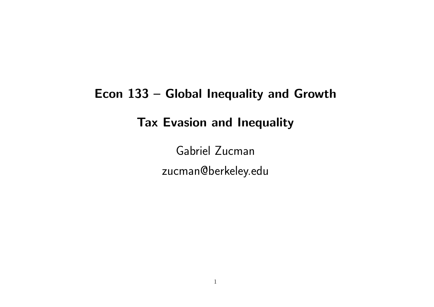# Econ 133 – Global Inequality and Growth Tax Evasion and Inequality

Gabriel Zucman zucman@berkeley.edu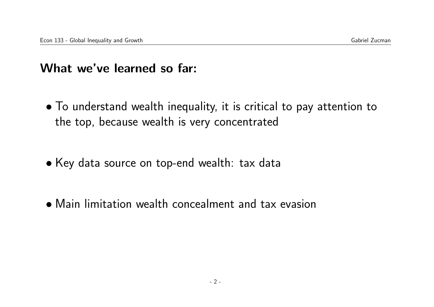#### What we've learned so far:

- To understand wealth inequality, it is critical to pay attention to the top, because wealth is very concentrated
- Key data source on top-end wealth: tax data
- Main limitation wealth concealment and tax evasion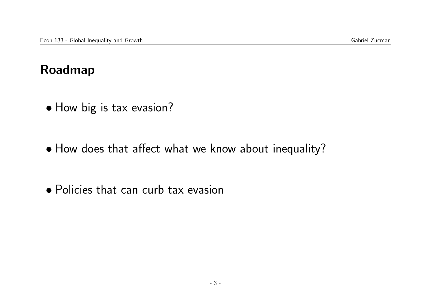### Roadmap

- How big is tax evasion?
- How does that affect what we know about inequality?
- Policies that can curb tax evasion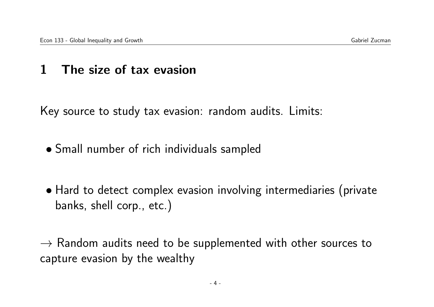#### 1 The size of tax evasion

Key source to study tax evasion: random audits. Limits:

- Small number of rich individuals sampled
- Hard to detect complex evasion involving intermediaries (private banks, shell corp., etc.)

 $\rightarrow$  Random audits need to be supplemented with other sources to capture evasion by the wealthy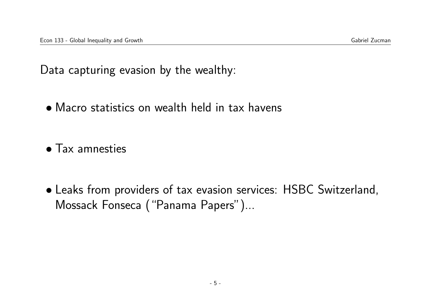Data capturing evasion by the wealthy:

• Macro statistics on wealth held in tax havens

• Tax amnesties

• Leaks from providers of tax evasion services: HSBC Switzerland, Mossack Fonseca ("Panama Papers")...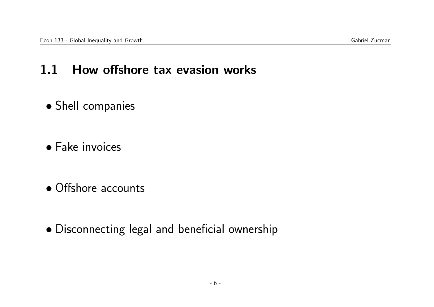#### 1.1 How offshore tax evasion works

- Shell companies
- Fake invoices
- Offshore accounts
- Disconnecting legal and beneficial ownership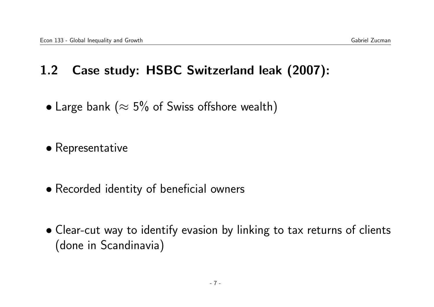# 1.2 Case study: HSBC Switzerland leak (2007):

- Large bank ( $\approx$  5% of Swiss offshore wealth)
- Representative
- Recorded identity of beneficial owners
- Clear-cut way to identify evasion by linking to tax returns of clients (done in Scandinavia)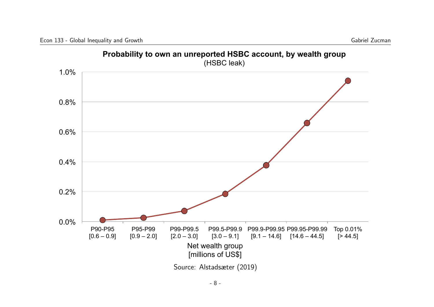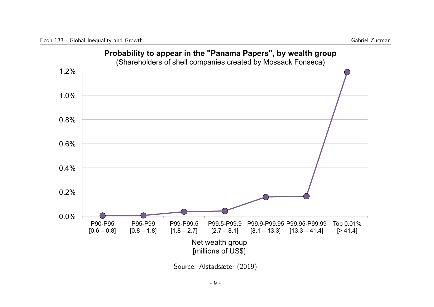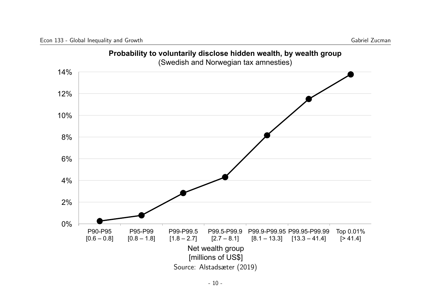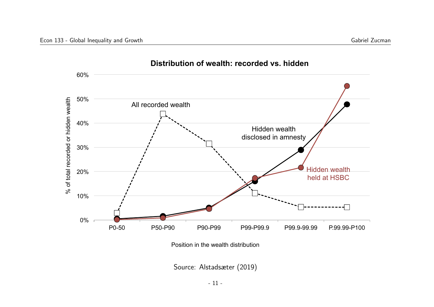

Position in the wealth distribution

Source: Alstadsæter (2019)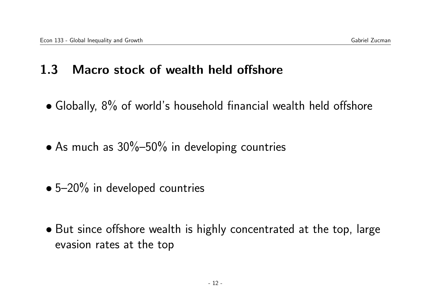### 1.3 Macro stock of wealth held offshore

- Globally, 8% of world's household financial wealth held offshore
- As much as  $30\%-50\%$  in developing countries
- 5–20% in developed countries
- But since offshore wealth is highly concentrated at the top, large evasion rates at the top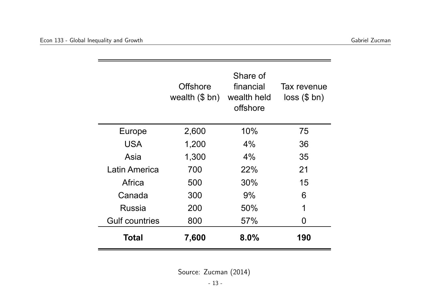|                       | <b>Offshore</b><br>wealth (\$ bn) wealth held | Share of<br>financial<br>offshore | Tax revenue<br>$loss$ (\$ bn) |
|-----------------------|-----------------------------------------------|-----------------------------------|-------------------------------|
| Europe                | 2,600                                         | 10%                               | 75                            |
| <b>USA</b>            | 1,200                                         | $4\%$                             | 36                            |
| Asia                  | 1,300                                         | $4\%$                             | 35                            |
| Latin America         | 700                                           | 22%                               | 21                            |
| Africa                | 500                                           | 30%                               | 15                            |
| Canada                | 300                                           | 9%                                | 6                             |
| <b>Russia</b>         | 200                                           | 50%                               | 1                             |
| <b>Gulf countries</b> | 800                                           | 57%                               | 0                             |
| Total                 | 7,600                                         | 8.0%                              | 190                           |

Source: Zucman (2014)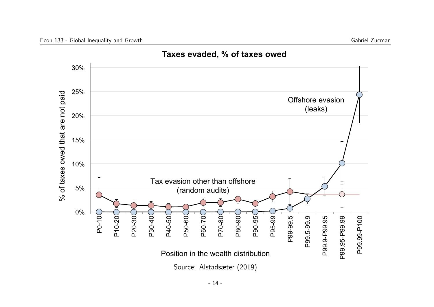

**Taxes evaded, % of taxes owed**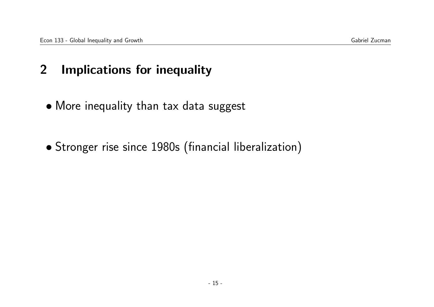#### 2 Implications for inequality

- More inequality than tax data suggest
- Stronger rise since 1980s (financial liberalization)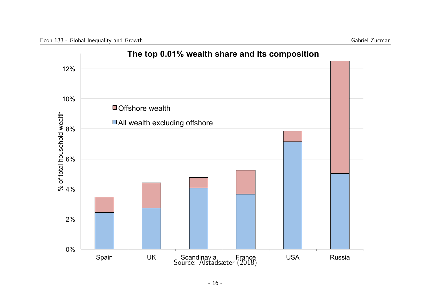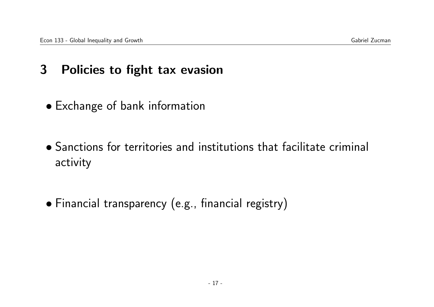## 3 Policies to fight tax evasion

- Exchange of bank information
- Sanctions for territories and institutions that facilitate criminal activity
- Financial transparency (e.g., financial registry)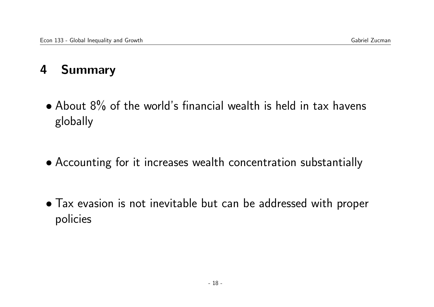# 4 Summary

- About 8% of the world's financial wealth is held in tax havens globally
- Accounting for it increases wealth concentration substantially
- Tax evasion is not inevitable but can be addressed with proper policies